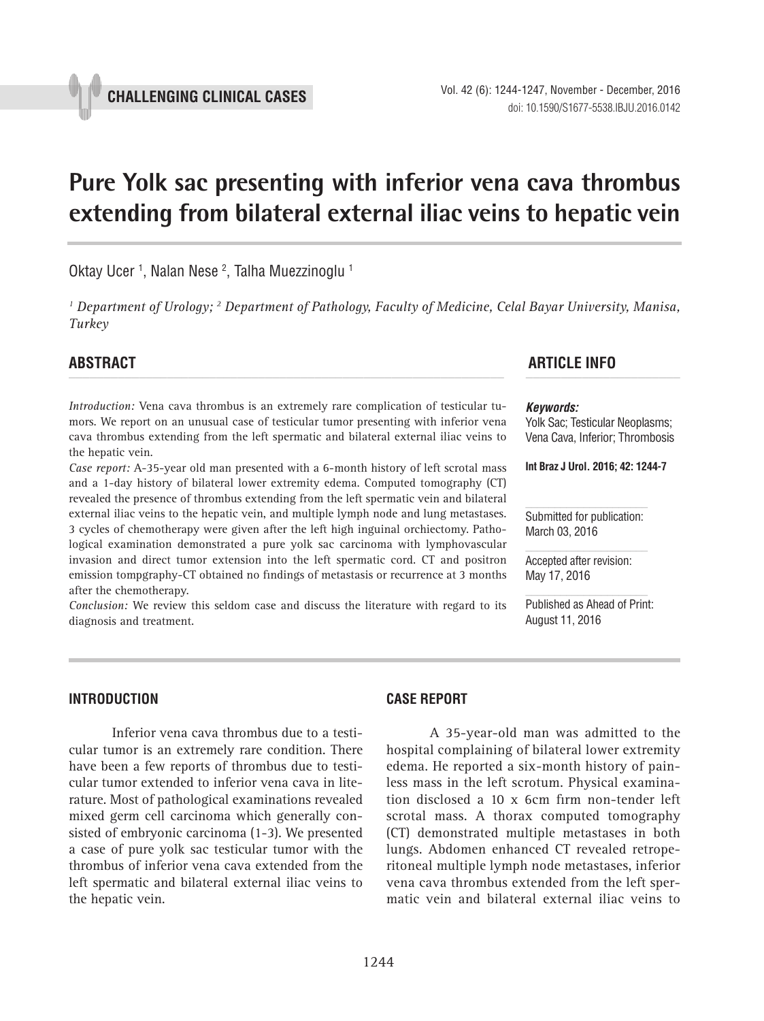# **Pure Yolk sac presenting with inferior vena cava thrombus extending from bilateral external iliac veins to hepatic vein \_\_\_\_\_\_\_\_\_\_\_\_\_\_\_\_\_\_\_\_\_\_\_\_\_\_\_\_\_\_\_\_\_\_\_\_\_\_\_\_\_\_\_\_\_\_\_**

Oktay Ucer <sup>1</sup>, Nalan Nese <sup>2</sup>, Talha Muezzinoglu <sup>1</sup>

<sup>1</sup> Department of Urology; <sup>2</sup> Department of Pathology, Faculty of Medicine, Celal Bayar University, Manisa, *Turkey*

*Introduction:* Vena cava thrombus is an extremely rare complication of testicular tumors. We report on an unusual case of testicular tumor presenting with inferior vena cava thrombus extending from the left spermatic and bilateral external iliac veins to the hepatic vein.

*Case report:* A-35-year old man presented with a 6-month history of left scrotal mass and a 1-day history of bilateral lower extremity edema. Computed tomography (CT) revealed the presence of thrombus extending from the left spermatic vein and bilateral external iliac veins to the hepatic vein, and multiple lymph node and lung metastases. 3 cycles of chemotherapy were given after the left high inguinal orchiectomy. Pathological examination demonstrated a pure yolk sac carcinoma with lymphovascular invasion and direct tumor extension into the left spermatic cord. CT and positron emission tompgraphy-CT obtained no findings of metastasis or recurrence at 3 months after the chemotherapy.

*Conclusion:* We review this seldom case and discuss the literature with regard to its diagnosis and treatment.

# **ABSTRACT ARTICLE INFO** *\_\_\_\_\_\_\_\_\_\_\_\_\_\_\_\_\_\_\_\_\_\_\_\_\_\_\_\_\_\_\_\_\_\_\_\_\_\_\_\_\_\_\_\_\_\_\_\_\_\_\_\_\_\_\_\_\_\_\_\_\_\_ \_\_\_\_\_\_\_\_\_\_\_\_\_\_\_\_\_\_\_\_\_\_*

#### *Keywords:*

Yolk Sac; Testicular Neoplasms; Vena Cava, Inferior; Thrombosis

**Int Braz J Urol. 2016; 42: 1244-7**

Submitted for publication: March 03, 2016

Accepted after revision: May 17, 2016

Published as Ahead of Print: August 11, 2016

## **INTRODUCTION**

Inferior vena cava thrombus due to a testicular tumor is an extremely rare condition. There have been a few reports of thrombus due to testicular tumor extended to inferior vena cava in literature. Most of pathological examinations revealed mixed germ cell carcinoma which generally consisted of embryonic carcinoma (1-3). We presented a case of pure yolk sac testicular tumor with the thrombus of inferior vena cava extended from the left spermatic and bilateral external iliac veins to the hepatic vein.

## **CASE REPORT**

A 35-year-old man was admitted to the hospital complaining of bilateral lower extremity edema. He reported a six-month history of painless mass in the left scrotum. Physical examination disclosed a 10 x 6cm firm non-tender left scrotal mass. A thorax computed tomography (CT) demonstrated multiple metastases in both lungs. Abdomen enhanced CT revealed retroperitoneal multiple lymph node metastases, inferior vena cava thrombus extended from the left spermatic vein and bilateral external iliac veins to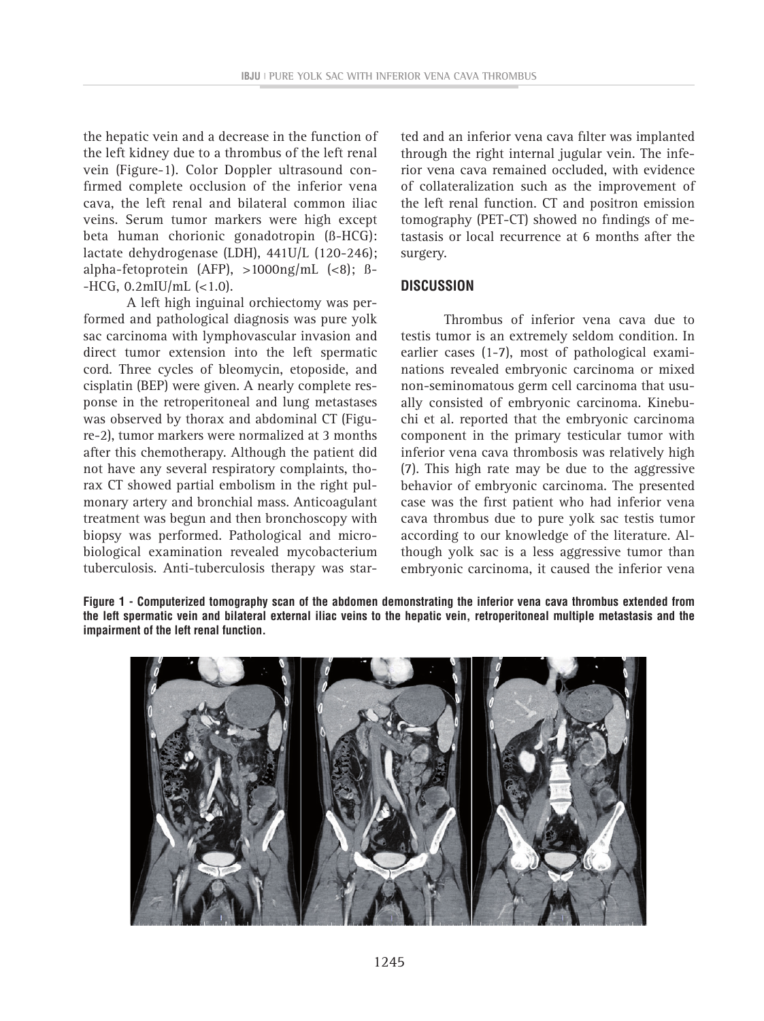the hepatic vein and a decrease in the function of the left kidney due to a thrombus of the left renal vein (Figure-1). Color Doppler ultrasound confirmed complete occlusion of the inferior vena cava, the left renal and bilateral common iliac veins. Serum tumor markers were high except beta human chorionic gonadotropin (ß-HCG): lactate dehydrogenase (LDH), 441U/L (120-246); alpha-fetoprotein (AFP),  $>1000$ ng/mL (<8); ß- $-HCG, 0.2mIU/mL$  (<1.0).

A left high inguinal orchiectomy was performed and pathological diagnosis was pure yolk sac carcinoma with lymphovascular invasion and direct tumor extension into the left spermatic cord. Three cycles of bleomycin, etoposide, and cisplatin (BEP) were given. A nearly complete response in the retroperitoneal and lung metastases was observed by thorax and abdominal CT (Figure-2), tumor markers were normalized at 3 months after this chemotherapy. Although the patient did not have any several respiratory complaints, thorax CT showed partial embolism in the right pulmonary artery and bronchial mass. Anticoagulant treatment was begun and then bronchoscopy with biopsy was performed. Pathological and microbiological examination revealed mycobacterium tuberculosis. Anti-tuberculosis therapy was started and an inferior vena cava filter was implanted through the right internal jugular vein. The inferior vena cava remained occluded, with evidence of collateralization such as the improvement of the left renal function. CT and positron emission tomography (PET-CT) showed no findings of metastasis or local recurrence at 6 months after the surgery.

#### **DISCUSSION**

Thrombus of inferior vena cava due to testis tumor is an extremely seldom condition. In earlier cases (1-7), most of pathological examinations revealed embryonic carcinoma or mixed non-seminomatous germ cell carcinoma that usually consisted of embryonic carcinoma. Kinebuchi et al. reported that the embryonic carcinoma component in the primary testicular tumor with inferior vena cava thrombosis was relatively high (7). This high rate may be due to the aggressive behavior of embryonic carcinoma. The presented case was the first patient who had inferior vena cava thrombus due to pure yolk sac testis tumor according to our knowledge of the literature. Although yolk sac is a less aggressive tumor than embryonic carcinoma, it caused the inferior vena

**Figure 1 - Computerized tomography scan of the abdomen demonstrating the inferior vena cava thrombus extended from the left spermatic vein and bilateral external iliac veins to the hepatic vein, retroperitoneal multiple metastasis and the impairment of the left renal function.**

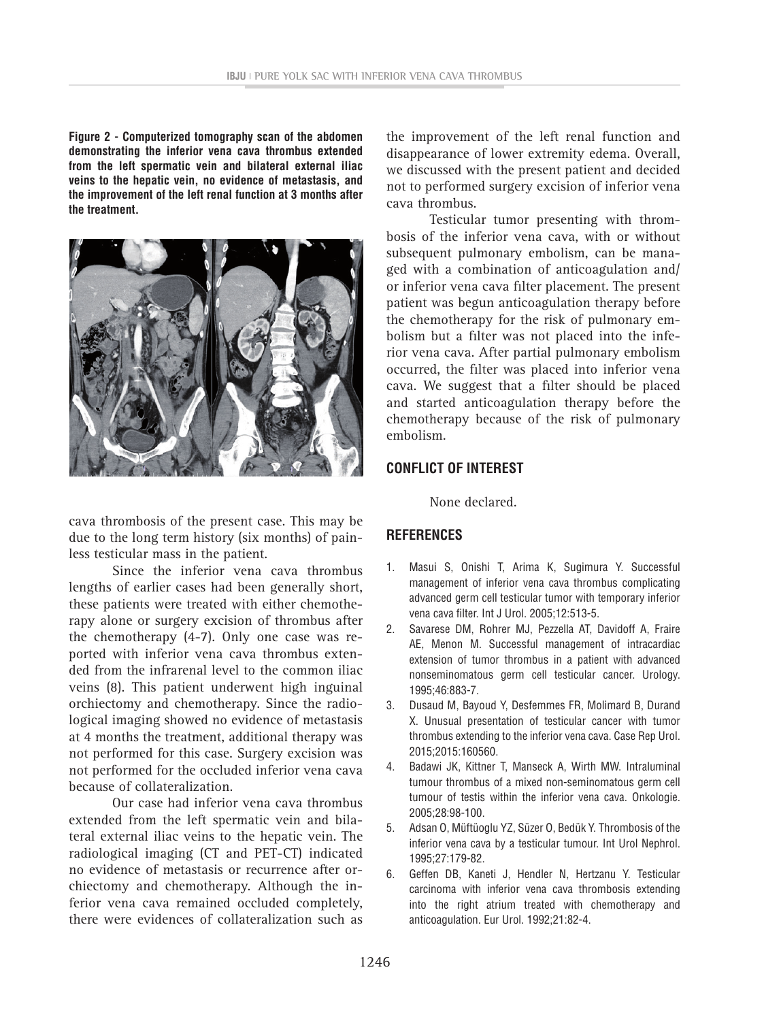**Figure 2 - Computerized tomography scan of the abdomen demonstrating the inferior vena cava thrombus extended from the left spermatic vein and bilateral external iliac veins to the hepatic vein, no evidence of metastasis, and the improvement of the left renal function at 3 months after the treatment.**



cava thrombosis of the present case. This may be due to the long term history (six months) of painless testicular mass in the patient.

Since the inferior vena cava thrombus lengths of earlier cases had been generally short, these patients were treated with either chemotherapy alone or surgery excision of thrombus after the chemotherapy (4-7). Only one case was reported with inferior vena cava thrombus extended from the infrarenal level to the common iliac veins (8). This patient underwent high inguinal orchiectomy and chemotherapy. Since the radiological imaging showed no evidence of metastasis at 4 months the treatment, additional therapy was not performed for this case. Surgery excision was not performed for the occluded inferior vena cava because of collateralization.

Our case had inferior vena cava thrombus extended from the left spermatic vein and bilateral external iliac veins to the hepatic vein. The radiological imaging (CT and PET-CT) indicated no evidence of metastasis or recurrence after orchiectomy and chemotherapy. Although the inferior vena cava remained occluded completely, there were evidences of collateralization such as

the improvement of the left renal function and disappearance of lower extremity edema. Overall, we discussed with the present patient and decided not to performed surgery excision of inferior vena cava thrombus.

Testicular tumor presenting with thrombosis of the inferior vena cava, with or without subsequent pulmonary embolism, can be managed with a combination of anticoagulation and/ or inferior vena cava filter placement. The present patient was begun anticoagulation therapy before the chemotherapy for the risk of pulmonary embolism but a filter was not placed into the inferior vena cava. After partial pulmonary embolism occurred, the filter was placed into inferior vena cava. We suggest that a filter should be placed and started anticoagulation therapy before the chemotherapy because of the risk of pulmonary embolism.

### **CONFLICT OF INTEREST**

None declared.

#### **REFERENCES**

- 1. Masui S, Onishi T, Arima K, Sugimura Y. Successful management of inferior vena cava thrombus complicating advanced germ cell testicular tumor with temporary inferior vena cava filter. Int J Urol. 2005;12:513-5.
- 2. Savarese DM, Rohrer MJ, Pezzella AT, Davidoff A, Fraire AE, Menon M. Successful management of intracardiac extension of tumor thrombus in a patient with advanced nonseminomatous germ cell testicular cancer. Urology. 1995;46:883-7.
- 3. Dusaud M, Bayoud Y, Desfemmes FR, Molimard B, Durand X. Unusual presentation of testicular cancer with tumor thrombus extending to the inferior vena cava. Case Rep Urol. 2015;2015:160560.
- 4. Badawi JK, Kittner T, Manseck A, Wirth MW. Intraluminal tumour thrombus of a mixed non-seminomatous germ cell tumour of testis within the inferior vena cava. Onkologie. 2005;28:98-100.
- 5. Adsan O, Müftüoglu YZ, Süzer O, Bedük Y. Thrombosis of the inferior vena cava by a testicular tumour. Int Urol Nephrol. 1995;27:179-82.
- 6. Geffen DB, Kaneti J, Hendler N, Hertzanu Y. Testicular carcinoma with inferior vena cava thrombosis extending into the right atrium treated with chemotherapy and anticoagulation. Eur Urol. 1992;21:82-4.